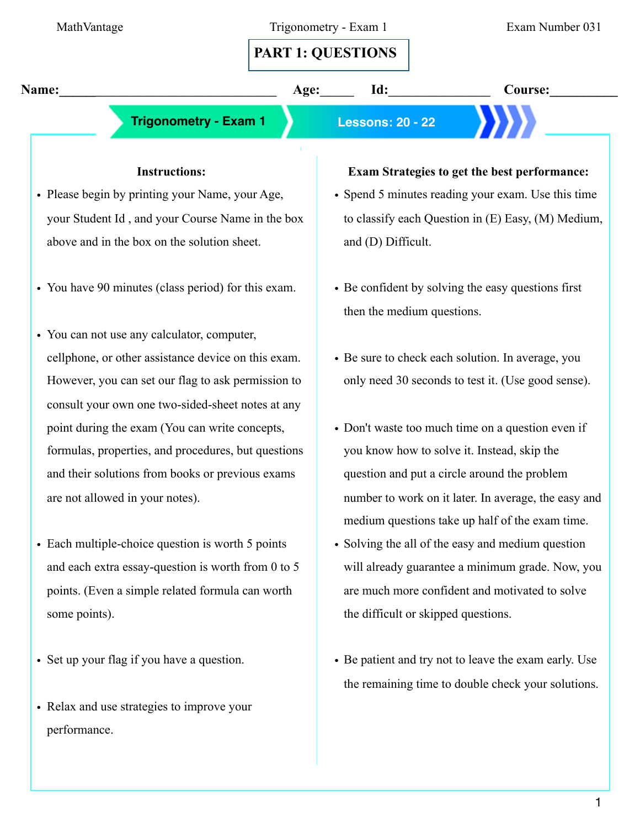# **PART 1: QUESTIONS**

**Name:** Age: 1d: Course:

 **Trigonometry - Exam 1 Lessons: 20 - 22**

### **Instructions:**

- Please begin by printing your Name, your Age, your Student Id , and your Course Name in the box above and in the box on the solution sheet.
- You have 90 minutes (class period) for this exam.
- You can not use any calculator, computer, cellphone, or other assistance device on this exam. However, you can set our flag to ask permission to consult your own one two-sided-sheet notes at any point during the exam (You can write concepts, formulas, properties, and procedures, but questions and their solutions from books or previous exams are not allowed in your notes).
- Each multiple-choice question is worth 5 points and each extra essay-question is worth from 0 to 5 points. (Even a simple related formula can worth some points).
- Set up your flag if you have a question.
- Relax and use strategies to improve your performance.

#### **Exam Strategies to get the best performance:**

- Spend 5 minutes reading your exam. Use this time to classify each Question in (E) Easy, (M) Medium, and (D) Difficult.
- Be confident by solving the easy questions first then the medium questions.
- Be sure to check each solution. In average, you only need 30 seconds to test it. (Use good sense).
- Don't waste too much time on a question even if you know how to solve it. Instead, skip the question and put a circle around the problem number to work on it later. In average, the easy and medium questions take up half of the exam time.
- Solving the all of the easy and medium question will already guarantee a minimum grade. Now, you are much more confident and motivated to solve the difficult or skipped questions.
- Be patient and try not to leave the exam early. Use the remaining time to double check your solutions.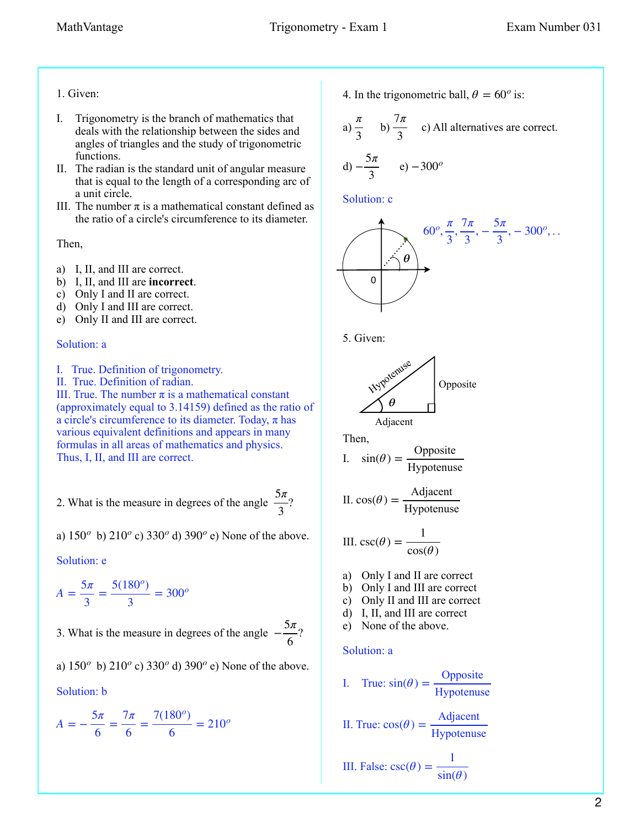#### 1. Given:

- I. Trigonometry is the branch of mathematics that deals with the relationship between the sides and angles of triangles and the study of trigonometric functions.
- II. The radian is the standard unit of angular measure that is equal to the length of a corresponding arc of a unit circle.
- III. The number  $\pi$  is a mathematical constant defined as the ratio of a circle's circumference to its diameter.

Then,

- a) I, II, and III are correct.
- b) I, II, and III are **incorrect**.
- c) Only I and II are correct.
- d) Only I and III are correct.
- e) Only II and III are correct.

#### Solution: a

- I. True. Definition of trigonometry.
- II. True. Definition of radian.

III. True. The number  $\pi$  is a mathematical constant (approximately equal to 3.14159) defined as the ratio of a circle's circumference to its diameter. Today,  $\pi$  has various equivalent definitions and appears in many formulas in all areas of mathematics and physics. Thus, I, II, and III are correct.

2. What is the measure in degrees of the angle  $\frac{5\pi}{2}$ ? 3

a)  $150^{\circ}$  b)  $210^{\circ}$  c)  $330^{\circ}$  d)  $390^{\circ}$  e) None of the above.

Solution: e

 $A = \frac{5\pi}{3} = \frac{5(180^\circ)}{3} = 300^\circ$ 

3. What is the measure in degrees of the angle  $-\frac{5\pi}{6}$ ? 6

a)  $150^{\circ}$  b)  $210^{\circ}$  c)  $330^{\circ}$  d)  $390^{\circ}$  e) None of the above.

Solution: b

$$
A = -\frac{5\pi}{6} = \frac{7\pi}{6} = \frac{7(180^\circ)}{6} = 210^\circ
$$

4. In the trigonometric ball,  $\theta = 60^\circ$  is:

a) 
$$
\frac{\pi}{3}
$$
 b)  $\frac{7\pi}{3}$  c) All alternatives are correct.

$$
d) -\frac{5\pi}{3} \qquad e) -300^o
$$

Solution: c







Adjacent

Then,

I. 
$$
sin(\theta) = \frac{\text{Opposite}}{\text{Hypotenuse}}
$$

II. 
$$
cos(\theta) = \frac{\text{Adjacent}}{\text{Hypotenuse}}
$$

III. 
$$
\csc(\theta) = \frac{1}{\cos(\theta)}
$$

- a) Only I and II are correct
- b) Only I and III are correct
- c) Only II and III are correct
- d) I, II, and III are correct
- e) None of the above.

#### Solution: a

I. True: 
$$
sin(\theta) = \frac{\text{Opposite}}{\text{Hypotenuse}}
$$

II. True: 
$$
cos(\theta) = \frac{\text{Adjacent}}{\text{Hypotenuse}}
$$

III. False: 
$$
csc(\theta) = \frac{1}{sin(\theta)}
$$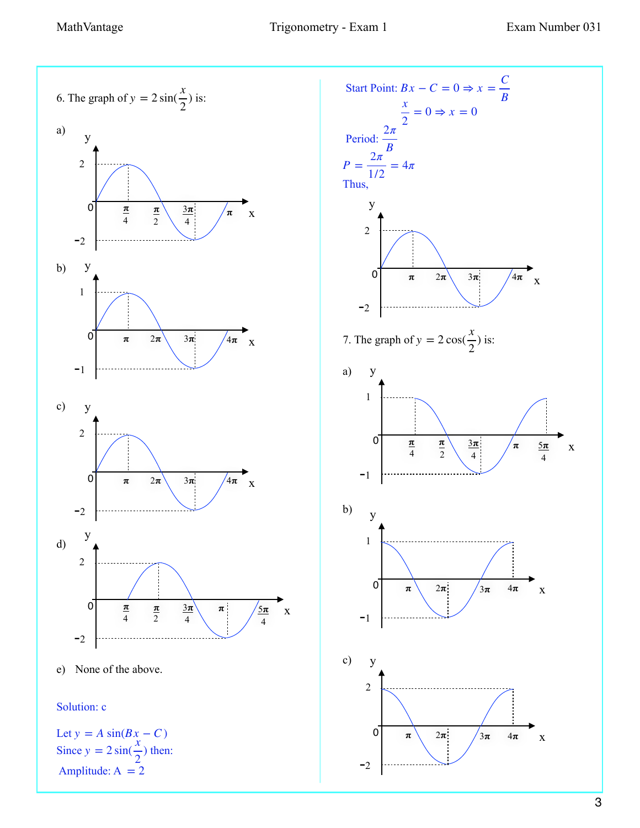

3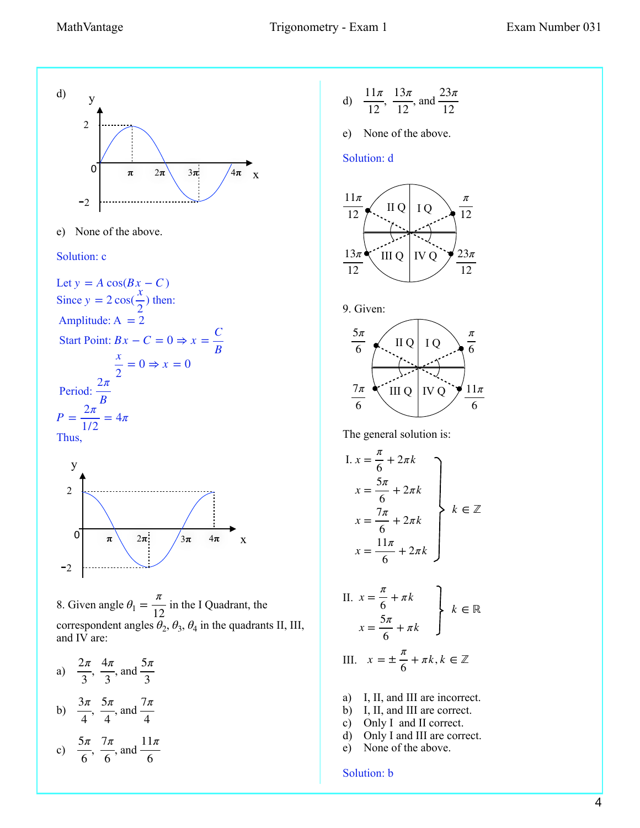

e) None of the above.

#### Solution: c

Let 
$$
y = A \cos(Bx - C)
$$
  
\nSince  $y = 2 \cos(\frac{x}{2})$  then:  
\nAmplitude:  $A = 2$   
\nStart Point:  $Bx - C = 0 \Rightarrow x = \frac{C}{B}$   
\n $\frac{x}{2} = 0 \Rightarrow x = 0$   
\nPeriod:  $\frac{2\pi}{B}$   
\n $P = \frac{2\pi}{1/2} = 4\pi$   
\nThus,



8. Given angle  $\theta_1 = \frac{\pi}{12}$  in the I Quadrant, the correspondent angles  $\theta_2$ ,  $\theta_3$ ,  $\theta_4$  in the quadrants II, III, and IV are:

- a)  $\frac{2\pi}{\pi}$ ,  $\frac{4\pi}{\pi}$ , and 3 4*π* 3 5*π* 3
- b)  $\frac{3\pi}{4}$ ,  $\frac{5\pi}{4}$ , and 4 5*π* 4 7*π* 4

c) 
$$
\frac{5\pi}{6}, \frac{7\pi}{6}, \text{ and } \frac{11\pi}{6}
$$

d) 
$$
\frac{11\pi}{12}
$$
,  $\frac{13\pi}{12}$ , and  $\frac{23\pi}{12}$ 

e) None of the above.

#### Solution: d



9. Given:



The general solution is:

I. 
$$
x = \frac{\pi}{6} + 2\pi k
$$
  
\n
$$
x = \frac{5\pi}{6} + 2\pi k
$$
\n
$$
x = \frac{7\pi}{6} + 2\pi k
$$
\n
$$
x = \frac{11\pi}{6} + 2\pi k
$$
\n
$$
x = \frac{11\pi}{6} + 2\pi k
$$

II. 
$$
x = \frac{\pi}{6} + \pi k
$$
  
 $x = \frac{5\pi}{6} + \pi k$   $k \in \mathbb{R}$ 

III. 
$$
x = \pm \frac{\pi}{6} + \pi k, k \in \mathbb{Z}
$$

- a) I, II, and III are incorrect.
- b) I, II, and III are correct.
- c) Only I and II correct.
- d) Only I and III are correct.
- e) None of the above.

#### Solution: b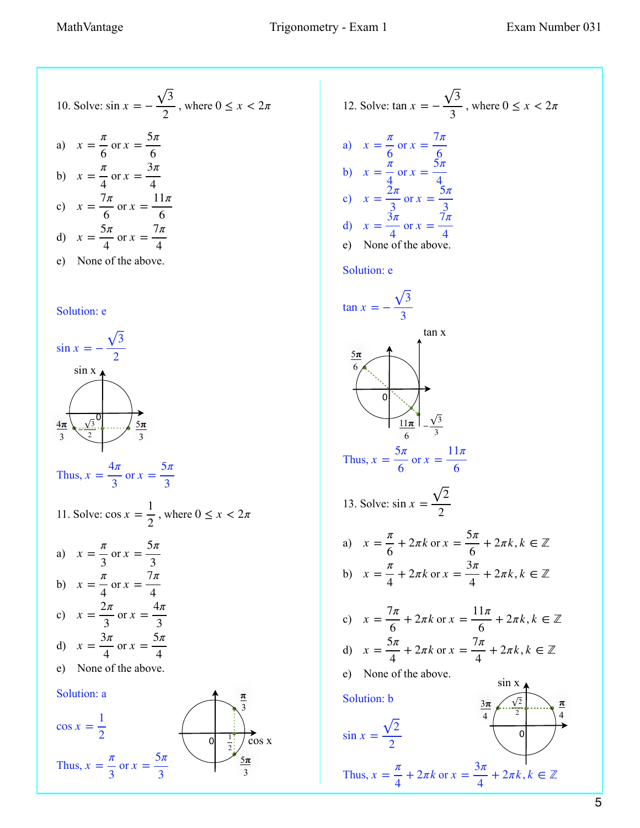10. Solve: 
$$
\sin x = -\frac{\sqrt{3}}{2}
$$
, where  $0 \le x < 2\pi$   
\na)  $x = \frac{\pi}{6}$  or  $x = \frac{5\pi}{6}$   
\nb)  $x = \frac{\pi}{4}$  or  $x = \frac{3\pi}{4}$   
\nc)  $x = \frac{7\pi}{6}$  or  $x = \frac{11\pi}{6}$   
\nd)  $x = \frac{5\pi}{4}$  or  $x = \frac{7\pi}{4}$   
\ne) None of the above.

#### Solution: e



Thus,  $x = \frac{4\pi}{3}$ 3 or  $x = \frac{5\pi}{2}$ 3

11. Solve: 
$$
\cos x = \frac{1}{2}
$$
, where  $0 \le x < 2\pi$ 

a) 
$$
x = \frac{\pi}{3}
$$
 or  $x = \frac{5\pi}{3}$   
b)  $x = \frac{\pi}{4}$  or  $x = \frac{7\pi}{4}$ 

- c) d)  $x = \frac{3\pi}{4}$  $x = \frac{2\pi}{2}$ 3 or  $x = \frac{4\pi}{2}$ 3 4 or  $x = \frac{5\pi}{4}$ 4
- e) None of the above.



12. Solve: 
$$
\tan x = -\frac{\sqrt{3}}{3}
$$
, where  $0 \le x < 2\pi$   
\na)  $x = \frac{\pi}{6}$  or  $x = \frac{7\pi}{6}$   
\nb)  $x = \frac{\pi}{4}$  or  $x = \frac{5\pi}{4}$   
\nc)  $x = \frac{2\pi}{3}$  or  $x = \frac{5\pi}{3}$   
\nd)  $x = \frac{3\pi}{4}$  or  $x = \frac{7\pi}{4}$   
\ne) None of the above.  
\nSolution: e  
\n $\tan x = -\frac{\sqrt{3}}{2}$ 

$$
\frac{5\pi}{6}
$$
\n
$$
\frac{5\pi}{6}
$$
\nThus,  $x = \frac{5\pi}{6}$  or  $x = \frac{11\pi}{6}$   
\n13. Solve:  $\sin x = \frac{\sqrt{2}}{2}$   
\na)  $x = \frac{\pi}{6} + 2\pi k$  or  $x = \frac{5\pi}{6} + 2\pi k$ ,  $k \in \mathbb{Z}$   
\nb)  $x = \frac{\pi}{4} + 2\pi k$  or  $x = \frac{3\pi}{4} + 2\pi k$ ,  $k \in \mathbb{Z}$   
\nc)  $x = \frac{7\pi}{6} + 2\pi k$  or  $x = \frac{11\pi}{6} + 2\pi k$ ,  $k \in \mathbb{Z}$   
\nd)  $x = \frac{5\pi}{4} + 2\pi k$  or  $x = \frac{7\pi}{4} + 2\pi k$ ,  $k \in \mathbb{Z}$   
\ne) None of the above.  
\nSolution: b  
\n $\sin x = \frac{\sqrt{2}}{2}$   
\nThus,  $x = \frac{\pi}{2} + 2\pi k$  or  $x = \frac{3\pi}{4} + 2\pi k$ ,  $k \in \mathbb{Z}$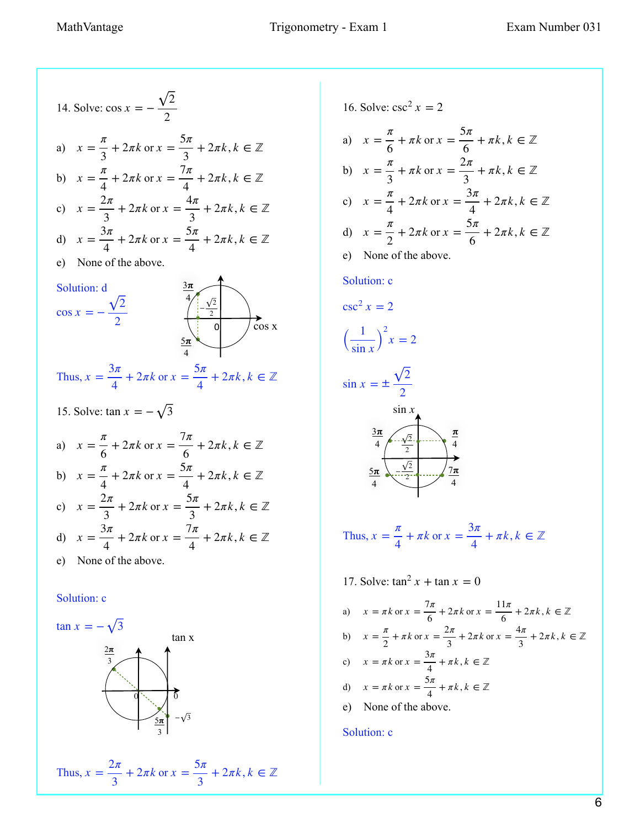14. Solve: 
$$
\cos x = -\frac{\sqrt{2}}{2}
$$
  
\na)  $x = \frac{\pi}{3} + 2\pi k$  or  $x = \frac{5\pi}{3} + 2\pi k$ ,  $k \in \mathbb{Z}$   
\nb)  $x = \frac{\pi}{4} + 2\pi k$  or  $x = \frac{7\pi}{4} + 2\pi k$ ,  $k \in \mathbb{Z}$   
\nc)  $x = \frac{2\pi}{3} + 2\pi k$  or  $x = \frac{4\pi}{3} + 2\pi k$ ,  $k \in \mathbb{Z}$   
\nd)  $x = \frac{3\pi}{4} + 2\pi k$  or  $x = \frac{5\pi}{4} + 2\pi k$ ,  $k \in \mathbb{Z}$   
\ne) None of the above.  
\nSolution: d  
\n $\cos x = -\frac{\sqrt{2}}{2}$   
\n $\cos x = -\frac{\sqrt{2}}{2}$   
\nThus,  $x = \frac{3\pi}{4} + 2\pi k$  or  $x = \frac{5\pi}{4} + 2\pi k$ ,  $k \in \mathbb{Z}$   
\n15. Solve:  $\tan x = -\sqrt{3}$   
\na)  $x = \frac{\pi}{6} + 2\pi k$  or  $x = \frac{7\pi}{6} + 2\pi k$ ,  $k \in \mathbb{Z}$   
\nb)  $x = \frac{\pi}{4} + 2\pi k$  or  $x = \frac{5\pi}{4} + 2\pi k$ ,  $k \in \mathbb{Z}$   
\nc)  $x = \frac{2\pi}{3} + 2\pi k$  or  $x = \frac{5\pi}{3} + 2\pi k$ ,  $k \in \mathbb{Z}$   
\nd)  $x = \frac{3\pi}{4} + 2\pi k$  or  $x = \frac{7\pi}{4} + 2\pi k$ ,  $k \in \mathbb{Z}$   
\ne) None of the above.

#### Solution: c



Thus, 
$$
x = \frac{2\pi}{3} + 2\pi k
$$
 or  $x = \frac{5\pi}{3} + 2\pi k, k \in \mathbb{Z}$ 

16. Solve: 
$$
\csc^2 x = 2
$$
  
\na)  $x = \frac{\pi}{6} + \pi k$  or  $x = \frac{5\pi}{6} + \pi k, k \in \mathbb{Z}$   
\nb)  $x = \frac{\pi}{3} + \pi k$  or  $x = \frac{2\pi}{3} + \pi k, k \in \mathbb{Z}$   
\nc)  $x = \frac{\pi}{4} + 2\pi k$  or  $x = \frac{3\pi}{4} + 2\pi k, k \in \mathbb{Z}$   
\nd)  $x = \frac{\pi}{2} + 2\pi k$  or  $x = \frac{5\pi}{6} + 2\pi k, k \in \mathbb{Z}$   
\ne) None of the above.  
\nSolution: c

$$
\csc^2 x = 2
$$

$$
\left(\frac{1}{\sin x}\right)^2 x = 2
$$

$$
\sin x = \pm \frac{\sqrt{2}}{2}
$$

$$
\begin{array}{c}\n\sin x \\
\frac{3\pi}{4} \\
\frac{5\pi}{4} \\
\end{array}
$$

Thus, 
$$
x = \frac{\pi}{4} + \pi k
$$
 or  $x = \frac{3\pi}{4} + \pi k, k \in \mathbb{Z}$ 

17. Solve:  $\tan^2 x + \tan x = 0$ a)  $x = \pi k$  or  $x = \frac{7\pi}{6} + 2\pi k$  or  $x = \frac{11\pi}{6} + 2\pi k$ ,  $k \in \mathbb{Z}$ b)  $x = \frac{\pi}{2} + \pi k$  or  $x = \frac{2\pi}{3} + 2\pi k$  or  $x = \frac{4\pi}{3} + 2\pi k$ ,  $k \in \mathbb{Z}$ c)  $x = \pi k$  or  $x = \frac{\pi}{4} + \pi k, k \in \mathbb{Z}$ d) e) None of the above.  $x = \pi k$  or  $x = \frac{3\pi}{4} + \pi k$ ,  $k \in \mathbb{Z}$  $x = \pi k$  or  $x = \frac{5\pi}{4} + \pi k$ ,  $k \in \mathbb{Z}$ 

#### Solution: c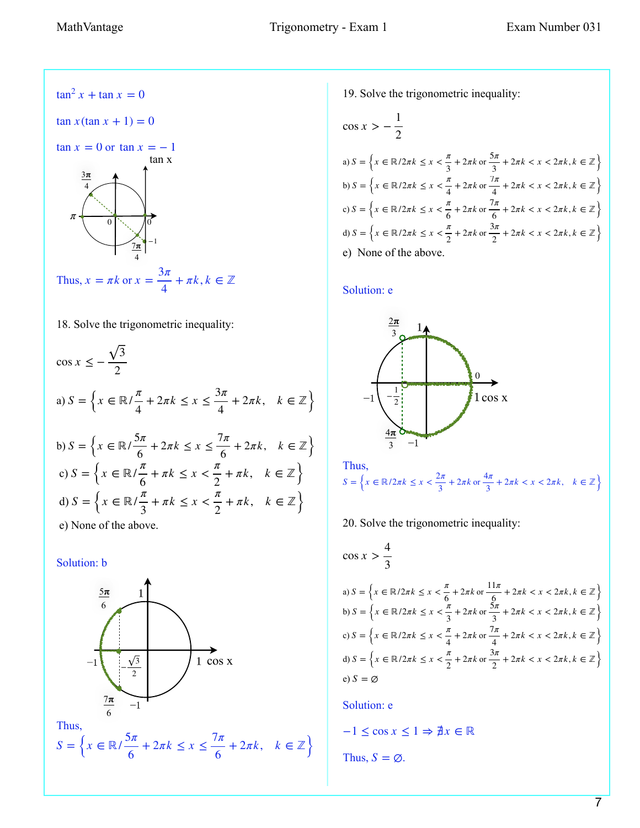Thus,  $x = \pi k$  or  $x = \frac{3\pi}{4}$  $\tan^2 x + \tan x = 0$  $\tan x (\tan x + 1) = 0$  $\tan x = 0$  or  $\tan x = -1$  $+ \pi k, k \in \mathbb{Z}$  $\frac{3\pi}{2}$ 4  $\frac{7\pi}{2}$ 4 tan x −1  $\pi$  0 0 0 0

18. Solve the trigonometric inequality:

4

$$
\cos x \le -\frac{\sqrt{3}}{2}
$$
  
\na)  $S = \left\{ x \in \mathbb{R} / \frac{\pi}{4} + 2\pi k \le x \le \frac{3\pi}{4} + 2\pi k, \quad k \in \mathbb{Z} \right\}$   
\nb)  $S = \left\{ x \in \mathbb{R} / \frac{5\pi}{6} + 2\pi k \le x \le \frac{7\pi}{6} + 2\pi k, \quad k \in \mathbb{Z} \right\}$   
\nc)  $S = \left\{ x \in \mathbb{R} / \frac{\pi}{6} + \pi k \le x < \frac{\pi}{2} + \pi k, \quad k \in \mathbb{Z} \right\}$   
\nd)  $S = \left\{ x \in \mathbb{R} / \frac{\pi}{3} + \pi k \le x < \frac{\pi}{2} + \pi k, \quad k \in \mathbb{Z} \right\}$   
\ne) None of the above.

Solution: b



19. Solve the trigonometric inequality:

$$
\cos x > -\frac{1}{2}
$$
\n
$$
\text{a) } S = \left\{ x \in \mathbb{R}/2\pi k \le x < \frac{\pi}{3} + 2\pi k \text{ or } \frac{5\pi}{3} + 2\pi k < x < 2\pi k, k \in \mathbb{Z} \right\}
$$
\n
$$
\text{b) } S = \left\{ x \in \mathbb{R}/2\pi k \le x < \frac{\pi}{4} + 2\pi k \text{ or } \frac{7\pi}{4} + 2\pi k < x < 2\pi k, k \in \mathbb{Z} \right\}
$$
\n
$$
\text{c) } S = \left\{ x \in \mathbb{R}/2\pi k \le x < \frac{\pi}{6} + 2\pi k \text{ or } \frac{7\pi}{6} + 2\pi k < x < 2\pi k, k \in \mathbb{Z} \right\}
$$
\n
$$
\text{d) } S = \left\{ x \in \mathbb{R}/2\pi k \le x < \frac{\pi}{2} + 2\pi k \text{ or } \frac{3\pi}{2} + 2\pi k < x < 2\pi k, k \in \mathbb{Z} \right\}
$$
\n
$$
\text{e) None of the above.}
$$

#### Solution: e





$$
\cos x > \frac{4}{3}
$$
  
\na)  $S = \left\{ x \in \mathbb{R}/2\pi k \le x < \frac{\pi}{6} + 2\pi k \text{ or } \frac{11\pi}{6} + 2\pi k < x < 2\pi k, k \in \mathbb{Z} \right\}$   
\nb)  $S = \left\{ x \in \mathbb{R}/2\pi k \le x < \frac{\pi}{3} + 2\pi k \text{ or } \frac{5\pi}{3} + 2\pi k < x < 2\pi k, k \in \mathbb{Z} \right\}$   
\nc)  $S = \left\{ x \in \mathbb{R}/2\pi k \le x < \frac{\pi}{4} + 2\pi k \text{ or } \frac{7\pi}{4} + 2\pi k < x < 2\pi k, k \in \mathbb{Z} \right\}$   
\nd)  $S = \left\{ x \in \mathbb{R}/2\pi k \le x < \frac{\pi}{2} + 2\pi k \text{ or } \frac{3\pi}{2} + 2\pi k < x < 2\pi k, k \in \mathbb{Z} \right\}$   
\ne)  $S = \emptyset$ 

Solution: e

Thus,  $S = \emptyset$ .  $-1 \le \cos x \le 1 \Rightarrow \nexists x \in \mathbb{R}$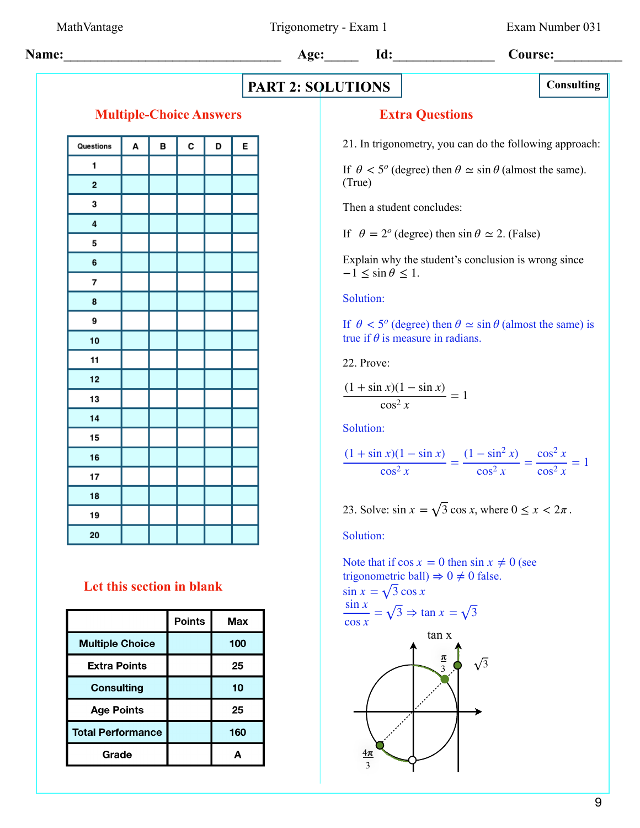MathVantage Trigonometry - Exam 1 Exam Number 031

**Name:** 1d: 1d: Course:

# **PART 2: SOLUTIONS**

## **Multiple-Choice Answers**

| Questions               | A | В | C | D | E |
|-------------------------|---|---|---|---|---|
| 1                       |   |   |   |   |   |
| 2                       |   |   |   |   |   |
| 3                       |   |   |   |   |   |
| $\overline{\mathbf{4}}$ |   |   |   |   |   |
| 5                       |   |   |   |   |   |
| 6                       |   |   |   |   |   |
| 7                       |   |   |   |   |   |
| 8                       |   |   |   |   |   |
| 9                       |   |   |   |   |   |
| 10                      |   |   |   |   |   |
| 11                      |   |   |   |   |   |
| 12                      |   |   |   |   |   |
| 13                      |   |   |   |   |   |
| 14                      |   |   |   |   |   |
| 15                      |   |   |   |   |   |
| 16                      |   |   |   |   |   |
| 17                      |   |   |   |   |   |
| 18                      |   |   |   |   |   |
| 19                      |   |   |   |   |   |
| 20                      |   |   |   |   |   |

# **Let this section in blank**

|                          | <b>Points</b> | Max |
|--------------------------|---------------|-----|
| <b>Multiple Choice</b>   |               | 100 |
| <b>Extra Points</b>      |               | 25  |
| <b>Consulting</b>        |               | 10  |
| <b>Age Points</b>        |               | 25  |
| <b>Total Performance</b> |               | 160 |
| Grade                    |               | А   |

## **Extra Questions**

21. In trigonometry, you can do the following approach:

If  $\theta < 5^{\circ}$  (degree) then  $\theta \simeq \sin \theta$  (almost the same). (True)

Then a student concludes:

If  $\theta = 2^o$  (degree) then  $\sin \theta \approx 2$ . (False)

Explain why the student's conclusion is wrong since  $-1 \leq \sin \theta \leq 1$ .

Solution:

If  $\theta < 5^{\circ}$  (degree) then  $\theta \simeq \sin \theta$  (almost the same) is true if  $\theta$  is measure in radians.

22. Prove:

$$
\frac{(1+\sin x)(1-\sin x)}{\cos^2 x} = 1
$$

Solution:

$$
\frac{(1+\sin x)(1-\sin x)}{\cos^2 x} = \frac{(1-\sin^2 x)}{\cos^2 x} = \frac{\cos^2 x}{\cos^2 x} = 1
$$

23. Solve:  $\sin x = \sqrt{3} \cos x$ , where  $0 \le x < 2\pi$ .

Solution:

Note that if  $\cos x = 0$  then  $\sin x \neq 0$  (see trigonometric ball)  $\Rightarrow$  0  $\neq$  0 false.  $\sin x = \sqrt{3} \cos x$ 

$$
\frac{\sin x}{\cos x} = \sqrt{3} \Rightarrow \tan x = \sqrt{3}
$$
\n
$$
\tan x
$$
\n
$$
\frac{\pi}{3}
$$